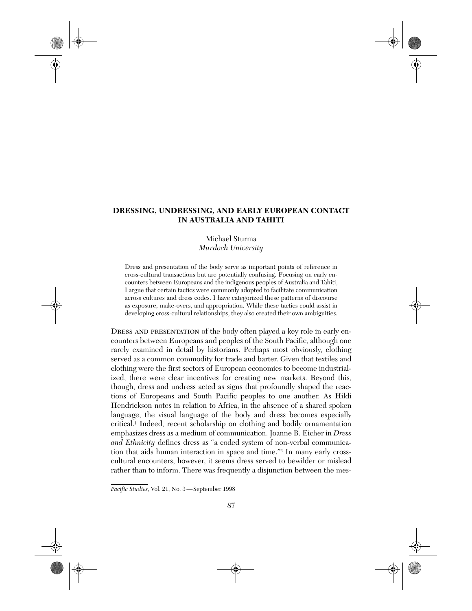# **DRESSING, UNDRESSING, AND EARLY EUROPEAN CONTACT IN AUSTRALIA AND TAHITI**

# Michael Sturma *Murdoch University*

Dress and presentation of the body serve as important points of reference in cross-cultural transactions but are potentially confusing. Focusing on early encounters between Europeans and the indigenous peoples of Australia and Tahiti, I argue that certain tactics were commonly adopted to facilitate communication across cultures and dress codes. I have categorized these patterns of discourse as exposure, make-overs, and appropriation. While these tactics could assist in developing cross-cultural relationships, they also created their own ambiguities.

DRESS AND PRESENTATION of the body often played a key role in early encounters between Europeans and peoples of the South Pacific, although one rarely examined in detail by historians. Perhaps most obviously, clothing served as a common commodity for trade and barter. Given that textiles and clothing were the first sectors of European economies to become industrialized, there were clear incentives for creating new markets. Beyond this, though, dress and undress acted as signs that profoundly shaped the reactions of Europeans and South Pacific peoples to one another. As Hildi Hendrickson notes in relation to Africa, in the absence of a shared spoken language, the visual language of the body and dress becomes especially critical.1 Indeed, recent scholarship on clothing and bodily ornamentation emphasizes dress as a medium of communication. Joanne B. Eicher in *Dress and Ethnicity* defines dress as "a coded system of non-verbal communication that aids human interaction in space and time."2 In many early crosscultural encounters, however, it seems dress served to bewilder or mislead rather than to inform. There was frequently a disjunction between the mes-

Pacific Studies, Vol. 21, No. 3-September 1998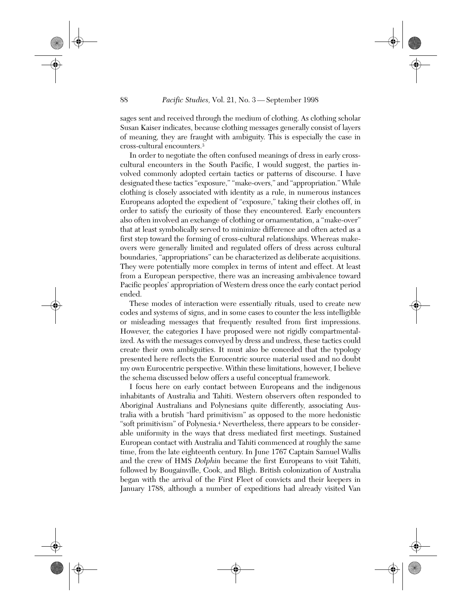sages sent and received through the medium of clothing. As clothing scholar Susan Kaiser indicates, because clothing messages generally consist of layers of meaning, they are fraught with ambiguity. This is especially the case in cross-cultural encounters.3

In order to negotiate the often confused meanings of dress in early crosscultural encounters in the South Pacific, I would suggest, the parties involved commonly adopted certain tactics or patterns of discourse. I have designated these tactics "exposure," "make-overs," and "appropriation." While clothing is closely associated with identity as a rule, in numerous instances Europeans adopted the expedient of "exposure," taking their clothes off, in order to satisfy the curiosity of those they encountered. Early encounters also often involved an exchange of clothing or ornamentation, a "make-over" that at least symbolically served to minimize difference and often acted as a first step toward the forming of cross-cultural relationships. Whereas makeovers were generally limited and regulated offers of dress across cultural boundaries, "appropriations" can be characterized as deliberate acquisitions. They were potentially more complex in terms of intent and effect. At least from a European perspective, there was an increasing ambivalence toward Pacific peoples' appropriation of Western dress once the early contact period ended.

These modes of interaction were essentially rituals, used to create new codes and systems of signs, and in some cases to counter the less intelligible or misleading messages that frequently resulted from first impressions. However, the categories I have proposed were not rigidly compartmentalized. As with the messages conveyed by dress and undress, these tactics could create their own ambiguities. It must also be conceded that the typology presented here reflects the Eurocentric source material used and no doubt my own Eurocentric perspective. Within these limitations, however, I believe the schema discussed below offers a useful conceptual framework.

I focus here on early contact between Europeans and the indigenous inhabitants of Australia and Tahiti. Western observers often responded to Aboriginal Australians and Polynesians quite differently, associating Australia with a brutish "hard primitivism" as opposed to the more hedonistic "soft primitivism" of Polynesia.4 Nevertheless, there appears to be considerable uniformity in the ways that dress mediated first meetings. Sustained European contact with Australia and Tahiti commenced at roughly the same time, from the late eighteenth century. In June 1767 Captain Samuel Wallis and the crew of HMS *Dolphin* became the first Europeans to visit Tahiti, followed by Bougainville, Cook, and Bligh. British colonization of Australia began with the arrival of the First Fleet of convicts and their keepers in January 1788, although a number of expeditions had already visited Van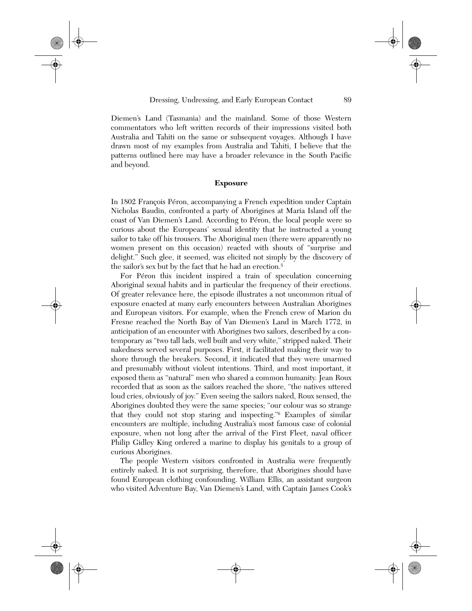Diemen's Land (Tasmania) and the mainland. Some of those Western commentators who left written records of their impressions visited both Australia and Tahiti on the same or subsequent voyages. Although I have drawn most of my examples from Australia and Tahiti, I believe that the patterns outlined here may have a broader relevance in the South Pacific and beyond.

#### **Exposure**

In 1802 François Péron, accompanying a French expedition under Captain Nicholas Baudin, confronted a party of Aborigines at Maria Island off the coast of Van Diemen's Land. According to Péron, the local people were so curious about the Europeans' sexual identity that he instructed a young sailor to take off his trousers. The Aboriginal men (there were apparently no women present on this occasion) reacted with shouts of "surprise and delight." Such glee, it seemed, was elicited not simply by the discovery of the sailor's sex but by the fact that he had an erection.5

For Péron this incident inspired a train of speculation concerning Aboriginal sexual habits and in particular the frequency of their erections. Of greater relevance here, the episode illustrates a not uncommon ritual of exposure enacted at many early encounters between Australian Aborigines and European visitors. For example, when the French crew of Marion du Fresne reached the North Bay of Van Diemen's Land in March 1772, in anticipation of an encounter with Aborigines two sailors, described by a contemporary as "two tall lads, well built and very white," stripped naked. Their nakedness served several purposes. First, it facilitated making their way to shore through the breakers. Second, it indicated that they were unarmed and presumably without violent intentions. Third, and most important, it exposed them as "natural" men who shared a common humanity. Jean Roux recorded that as soon as the sailors reached the shore, "the natives uttered loud cries, obviously of joy." Even seeing the sailors naked, Roux sensed, the Aborigines doubted they were the same species; "our colour was so strange that they could not stop staring and inspecting."6 Examples of similar encounters are multiple, including Australia's most famous case of colonial exposure, when not long after the arrival of the First Fleet, naval officer Philip Gidley King ordered a marine to display his genitals to a group of curious Aborigines.

The people Western visitors confronted in Australia were frequently entirely naked. It is not surprising, therefore, that Aborigines should have found European clothing confounding. William Ellis, an assistant surgeon who visited Adventure Bay, Van Diemen's Land, with Captain James Cook's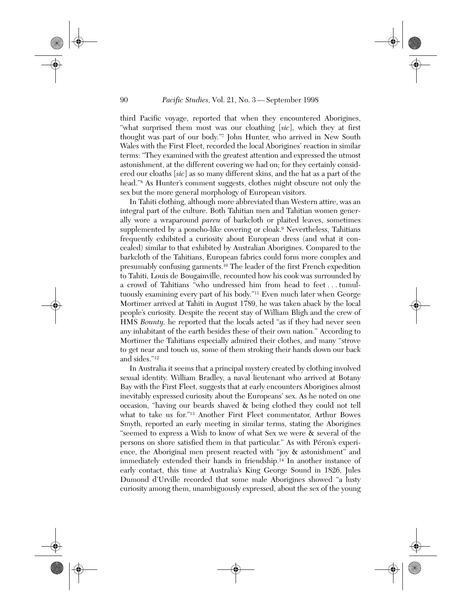third Pacific voyage, reported that when they encountered Aborigines, "what surprised them most was our cloathing [*sic*], which they at first thought was part of our body."7 John Hunter, who arrived in New South Wales with the First Fleet, recorded the local Aborigines' reaction in similar terms: "They examined with the greatest attention and expressed the utmost astonishment, at the different covering we had on; for they certainly considered our cloaths [*sic*] as so many different skins, and the hat as a part of the head."<sup>8</sup> As Hunter's comment suggests, clothes might obscure not only the sex but the more general morphology of European visitors.

In Tahiti clothing, although more abbreviated than Western attire, was an integral part of the culture. Both Tahitian men and Tahitian women generally wore a wraparound *pareu* of barkcloth or plaited leaves, sometimes supplemented by a poncho-like covering or cloak.<sup>9</sup> Nevertheless, Tahitians frequently exhibited a curiosity about European dress (and what it concealed) similar to that exhibited by Australian Aborigines. Compared to the barkcloth of the Tahitians, European fabrics could form more complex and presumably confusing garments.10 The leader of the first French expedition to Tahiti, Louis de Bougainville, recounted how his cook was surrounded by a crowd of Tahitians "who undressed him from head to feet . . . tumultuously examining every part of his body."11 Even much later when George Mortimer arrived at Tahiti in August 1789, he was taken aback by the local people's curiosity. Despite the recent stay of William Bligh and the crew of HMS *Bounty,* he reported that the locals acted "as if they had never seen any inhabitant of the earth besides these of their own nation." According to Mortimer the Tahitians especially admired their clothes, and many "strove to get near and touch us, some of them stroking their hands down our back and sides."12

In Australia it seems that a principal mystery created by clothing involved sexual identity. William Bradley, a naval lieutenant who arrived at Botany Bay with the First Fleet, suggests that at early encounters Aborigines almost inevitably expressed curiosity about the Europeans' sex. As he noted on one occasion, "having our beards shaved & being clothed they could not tell what to take us for."13 Another First Fleet commentator, Arthur Bowes Smyth, reported an early meeting in similar terms, stating the Aborigines "seemed to express a Wish to know of what Sex we were & several of the persons on shore satisfied them in that particular." As with Péron's experience, the Aboriginal men present reacted with "joy & astonishment" and immediately extended their hands in friendship.14 In another instance of early contact, this time at Australia's King George Sound in 1826, Jules Dumond d'Urville recorded that some male Aborigines showed "a lusty curiosity among them, unambiguously expressed, about the sex of the young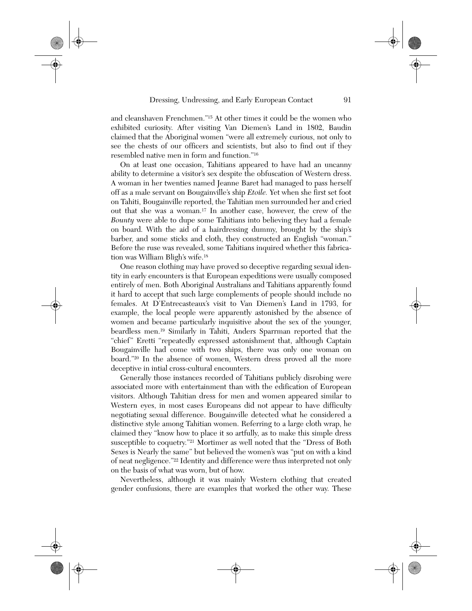and cleanshaven Frenchmen."15 At other times it could be the women who exhibited curiosity. After visiting Van Diemen's Land in 1802, Baudin claimed that the Aboriginal women "were all extremely curious, not only to see the chests of our officers and scientists, but also to find out if they resembled native men in form and function."16

On at least one occasion, Tahitians appeared to have had an uncanny ability to determine a visitor's sex despite the obfuscation of Western dress. A woman in her twenties named Jeanne Baret had managed to pass herself off as a male servant on Bougainville's ship *Etoile.* Yet when she first set foot on Tahiti, Bougainville reported, the Tahitian men surrounded her and cried out that she was a woman.17 In another case, however, the crew of the *Bounty* were able to dupe some Tahitians into believing they had a female on board. With the aid of a hairdressing dummy, brought by the ship's barber, and some sticks and cloth, they constructed an English "woman." Before the ruse was revealed, some Tahitians inquired whether this fabrication was William Bligh's wife.18

One reason clothing may have proved so deceptive regarding sexual identity in early encounters is that European expeditions were usually composed entirely of men. Both Aboriginal Australians and Tahitians apparently found it hard to accept that such large complements of people should include no females. At D'Entrecasteaux's visit to Van Diemen's Land in 1793, for example, the local people were apparently astonished by the absence of women and became particularly inquisitive about the sex of the younger, beardless men.19 Similarly in Tahiti, Anders Sparrman reported that the "chief" Eretti "repeatedly expressed astonishment that, although Captain Bougainville had come with two ships, there was only one woman on board."20 In the absence of women, Western dress proved all the more deceptive in intial cross-cultural encounters.

Generally those instances recorded of Tahitians publicly disrobing were associated more with entertainment than with the edification of European visitors. Although Tahitian dress for men and women appeared similar to Western eyes, in most cases Europeans did not appear to have difficulty negotiating sexual difference. Bougainville detected what he considered a distinctive style among Tahitian women. Referring to a large cloth wrap, he claimed they "know how to place it so artfully, as to make this simple dress susceptible to coquetry."21 Mortimer as well noted that the "Dress of Both Sexes is Nearly the same" but believed the women's was "put on with a kind of neat negligence."22 Identity and difference were thus interpreted not only on the basis of what was worn, but of how.

Nevertheless, although it was mainly Western clothing that created gender confusions, there are examples that worked the other way. These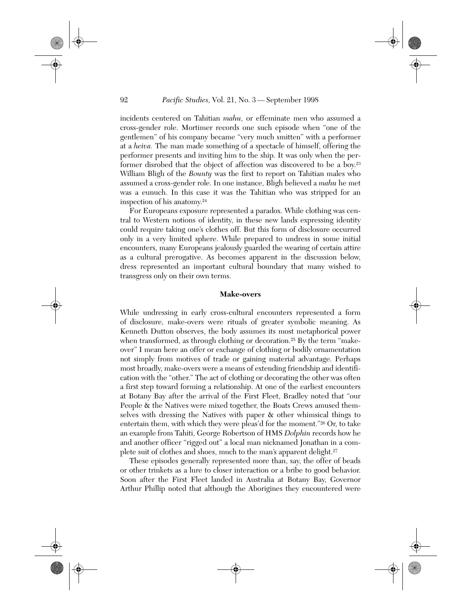incidents centered on Tahitian *mahu,* or effeminate men who assumed a cross-gender role. Mortimer records one such episode when "one of the gentlemen" of his company became "very much smitten" with a performer at a *heiva.* The man made something of a spectacle of himself, offering the performer presents and inviting him to the ship. It was only when the performer disrobed that the object of affection was discovered to be a boy.23 William Bligh of the *Bounty* was the first to report on Tahitian males who assumed a cross-gender role. In one instance, Bligh believed a *mahu* he met was a eunuch. In this case it was the Tahitian who was stripped for an inspection of his anatomy.24

For Europeans exposure represented a paradox. While clothing was central to Western notions of identity, in these new lands expressing identity could require taking one's clothes off. But this form of disclosure occurred only in a very limited sphere. While prepared to undress in some initial encounters, many Europeans jealously guarded the wearing of certain attire as a cultural prerogative. As becomes apparent in the discussion below, dress represented an important cultural boundary that many wished to transgress only on their own terms.

### **Make-overs**

While undressing in early cross-cultural encounters represented a form of disclosure, make-overs were rituals of greater symbolic meaning. As Kenneth Dutton observes, the body assumes its most metaphorical power when transformed, as through clothing or decoration.<sup>25</sup> By the term "makeover" I mean here an offer or exchange of clothing or bodily ornamentation not simply from motives of trade or gaining material advantage. Perhaps most broadly, make-overs were a means of extending friendship and identification with the "other." The act of clothing or decorating the other was often a first step toward forming a relationship. At one of the earliest encounters at Botany Bay after the arrival of the First Fleet, Bradley noted that "our People & the Natives were mixed together, the Boats Crews amused themselves with dressing the Natives with paper & other whimsical things to entertain them, with which they were pleas'd for the moment."26 Or, to take an example from Tahiti, George Robertson of HMS *Dolphin* records how he and another officer "rigged out" a local man nicknamed Jonathan in a complete suit of clothes and shoes, much to the man's apparent delight.<sup>27</sup>

These episodes generally represented more than, say, the offer of beads or other trinkets as a lure to closer interaction or a bribe to good behavior. Soon after the First Fleet landed in Australia at Botany Bay, Governor Arthur Phillip noted that although the Aborigines they encountered were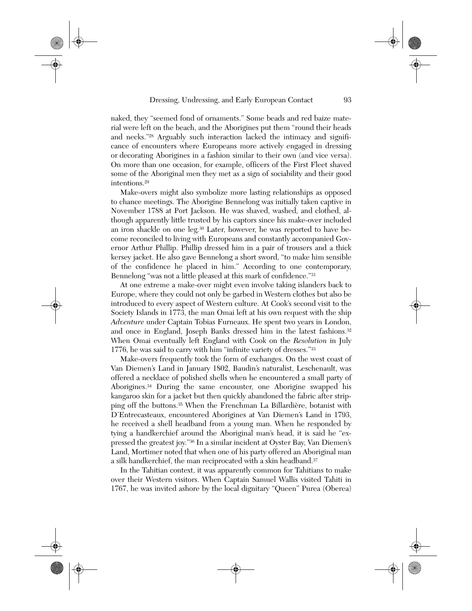naked, they "seemed fond of ornaments." Some beads and red baize material were left on the beach, and the Aborigines put them "round their heads and necks."28 Arguably such interaction lacked the intimacy and significance of encounters where Europeans more actively engaged in dressing or decorating Aborigines in a fashion similar to their own (and vice versa). On more than one occasion, for example, officers of the First Fleet shaved some of the Aboriginal men they met as a sign of sociability and their good intentions.29

Make-overs might also symbolize more lasting relationships as opposed to chance meetings. The Aborigine Bennelong was initially taken captive in November 1788 at Port Jackson. He was shaved, washed, and clothed, although apparently little trusted by his captors since his make-over included an iron shackle on one leg.30 Later, however, he was reported to have become reconciled to living with Europeans and constantly accompanied Governor Arthur Phillip. Phillip dressed him in a pair of trousers and a thick kersey jacket. He also gave Bennelong a short sword, "to make him sensible of the confidence he placed in him." According to one contemporary, Bennelong "was not a little pleased at this mark of confidence."31

At one extreme a make-over might even involve taking islanders back to Europe, where they could not only be garbed in Western clothes but also be introduced to every aspect of Western culture. At Cook's second visit to the Society Islands in 1773, the man Omai left at his own request with the ship *Adventure* under Captain Tobias Furneaux. He spent two years in London, and once in England, Joseph Banks dressed him in the latest fashions.<sup>32</sup> When Omai eventually left England with Cook on the *Resolution* in July 1776, he was said to carry with him "infinite variety of dresses."33

Make-overs frequently took the form of exchanges. On the west coast of Van Diemen's Land in January 1802, Baudin's naturalist, Leschenault, was offered a necklace of polished shells when he encountered a small party of Aborigines.34 During the same encounter, one Aborigine swapped his kangaroo skin for a jacket but then quickly abandoned the fabric after stripping off the buttons.35 When the Frenchman La Billardière, botanist with D'Entrecasteaux, encountered Aborigines at Van Diemen's Land in 1793, he received a shell headband from a young man. When he responded by tying a handkerchief around the Aboriginal man's head, it is said he "expressed the greatest joy."36 In a similar incident at Oyster Bay, Van Diemen's Land, Mortimer noted that when one of his party offered an Aboriginal man a silk handkerchief, the man reciprocated with a skin headband.<sup>37</sup>

In the Tahitian context, it was apparently common for Tahitians to make over their Western visitors. When Captain Samuel Wallis visited Tahiti in 1767, he was invited ashore by the local dignitary "Queen" Purea (Oberea)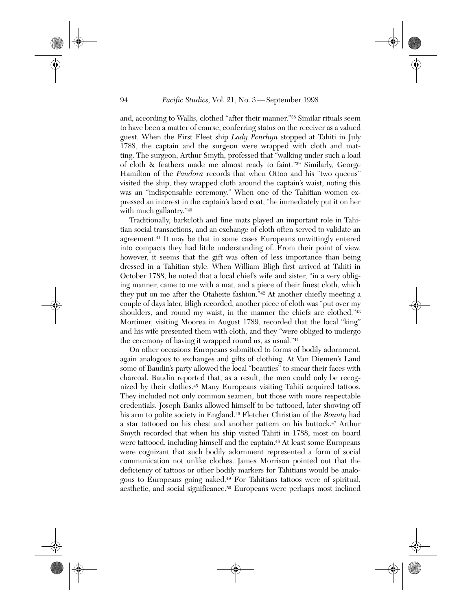and, according to Wallis, clothed "after their manner."38 Similar rituals seem to have been a matter of course, conferring status on the receiver as a valued guest. When the First Fleet ship *Lady Penrhyn* stopped at Tahiti in July 1788, the captain and the surgeon were wrapped with cloth and matting. The surgeon, Arthur Smyth, professed that "walking under such a load of cloth & feathers made me almost ready to faint."39 Similarly, George Hamilton of the *Pandora* records that when Ottoo and his "two queens" visited the ship, they wrapped cloth around the captain's waist, noting this was an "indispensable ceremony." When one of the Tahitian women expressed an interest in the captain's laced coat, "he immediately put it on her with much gallantry."40

Traditionally, barkcloth and fine mats played an important role in Tahitian social transactions, and an exchange of cloth often served to validate an agreement.41 It may be that in some cases Europeans unwittingly entered into compacts they had little understanding of. From their point of view, however, it seems that the gift was often of less importance than being dressed in a Tahitian style. When William Bligh first arrived at Tahiti in October 1788, he noted that a local chief's wife and sister, "in a very obliging manner, came to me with a mat, and a piece of their finest cloth, which they put on me after the Otaheite fashion."42 At another chiefly meeting a couple of days later, Bligh recorded, another piece of cloth was "put over my shoulders, and round my waist, in the manner the chiefs are clothed."<sup>43</sup> Mortimer, visiting Moorea in August 1789, recorded that the local "king" and his wife presented them with cloth, and they "were obliged to undergo the ceremony of having it wrapped round us, as usual."44

On other occasions Europeans submitted to forms of bodily adornment, again analogous to exchanges and gifts of clothing. At Van Diemen's Land some of Baudin's party allowed the local "beauties" to smear their faces with charcoal. Baudin reported that, as a result, the men could only be recognized by their clothes.45 Many Europeans visiting Tahiti acquired tattoos. They included not only common seamen, but those with more respectable credentials. Joseph Banks allowed himself to be tattooed, later showing off his arm to polite society in England.46 Fletcher Christian of the *Bounty* had a star tattooed on his chest and another pattern on his buttock.47 Arthur Smyth recorded that when his ship visited Tahiti in 1788, most on board were tattooed, including himself and the captain.<sup>48</sup> At least some Europeans were cognizant that such bodily adornment represented a form of social communication not unlike clothes. James Morrison pointed out that the deficiency of tattoos or other bodily markers for Tahitians would be analogous to Europeans going naked.49 For Tahitians tattoos were of spiritual, aesthetic, and social significance.50 Europeans were perhaps most inclined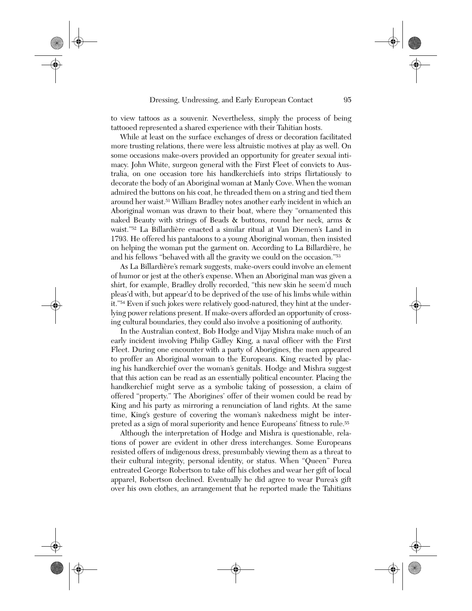to view tattoos as a souvenir. Nevertheless, simply the process of being tattooed represented a shared experience with their Tahitian hosts.

While at least on the surface exchanges of dress or decoration facilitated more trusting relations, there were less altruistic motives at play as well. On some occasions make-overs provided an opportunity for greater sexual intimacy. John White, surgeon general with the First Fleet of convicts to Australia, on one occasion tore his handkerchiefs into strips flirtatiously to decorate the body of an Aboriginal woman at Manly Cove. When the woman admired the buttons on his coat, he threaded them on a string and tied them around her waist.51 William Bradley notes another early incident in which an Aboriginal woman was drawn to their boat, where they "ornamented this naked Beauty with strings of Beads & buttons, round her neck, arms & waist."52 La Billardière enacted a similar ritual at Van Diemen's Land in 1793. He offered his pantaloons to a young Aboriginal woman, then insisted on helping the woman put the garment on. According to La Billardière, he and his fellows "behaved with all the gravity we could on the occasion."53

As La Billardière's remark suggests, make-overs could involve an element of humor or jest at the other's expense. When an Aboriginal man was given a shirt, for example, Bradley drolly recorded, "this new skin he seem'd much pleas'd with, but appear'd to be deprived of the use of his limbs while within it."54 Even if such jokes were relatively good-natured, they hint at the underlying power relations present. If make-overs afforded an opportunity of crossing cultural boundaries, they could also involve a positioning of authority.

In the Australian context, Bob Hodge and Vijay Mishra make much of an early incident involving Philip Gidley King, a naval officer with the First Fleet. During one encounter with a party of Aborigines, the men appeared to proffer an Aboriginal woman to the Europeans. King reacted by placing his handkerchief over the woman's genitals. Hodge and Mishra suggest that this action can be read as an essentially political encounter. Placing the handkerchief might serve as a symbolic taking of possession, a claim of offered "property." The Aborigines' offer of their women could be read by King and his party as mirroring a renunciation of land rights. At the same time, King's gesture of covering the woman's nakedness might be interpreted as a sign of moral superiority and hence Europeans' fitness to rule.55

Although the interpretation of Hodge and Mishra is questionable, relations of power are evident in other dress interchanges. Some Europeans resisted offers of indigenous dress, presumbably viewing them as a threat to their cultural integrity, personal identity, or status. When "Queen" Purea entreated George Robertson to take off his clothes and wear her gift of local apparel, Robertson declined. Eventually he did agree to wear Purea's gift over his own clothes, an arrangement that he reported made the Tahitians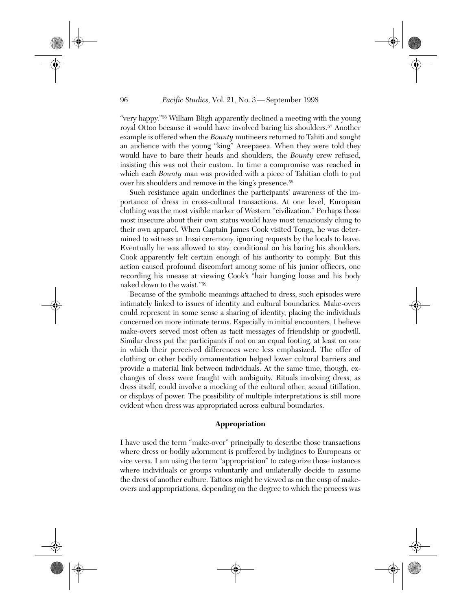"very happy."56 William Bligh apparently declined a meeting with the young royal Ottoo because it would have involved baring his shoulders.57 Another example is offered when the *Bounty* mutineers returned to Tahiti and sought an audience with the young "king" Areepaeea. When they were told they would have to bare their heads and shoulders, the *Bounty* crew refused, insisting this was not their custom. In time a compromise was reached in which each *Bounty* man was provided with a piece of Tahitian cloth to put over his shoulders and remove in the king's presence.58

Such resistance again underlines the participants' awareness of the importance of dress in cross-cultural transactions. At one level, European clothing was the most visible marker of Western "civilization." Perhaps those most insecure about their own status would have most tenaciously clung to their own apparel. When Captain James Cook visited Tonga, he was determined to witness an Insai ceremony, ignoring requests by the locals to leave. Eventually he was allowed to stay, conditional on his baring his shoulders. Cook apparently felt certain enough of his authority to comply. But this action caused profound discomfort among some of his junior officers, one recording his unease at viewing Cook's "hair hanging loose and his body naked down to the waist."59

Because of the symbolic meanings attached to dress, such episodes were intimately linked to issues of identity and cultural boundaries. Make-overs could represent in some sense a sharing of identity, placing the individuals concerned on more intimate terms. Especially in initial encounters, I believe make-overs served most often as tacit messages of friendship or goodwill. Similar dress put the participants if not on an equal footing, at least on one in which their perceived differences were less emphasized. The offer of clothing or other bodily ornamentation helped lower cultural barriers and provide a material link between individuals. At the same time, though, exchanges of dress were fraught with ambiguity. Rituals involving dress, as dress itself, could involve a mocking of the cultural other, sexual titillation, or displays of power. The possibility of multiple interpretations is still more evident when dress was appropriated across cultural boundaries.

### **Appropriation**

I have used the term "make-over" principally to describe those transactions where dress or bodily adornment is proffered by indigines to Europeans or vice versa. I am using the term "appropriation" to categorize those instances where individuals or groups voluntarily and unilaterally decide to assume the dress of another culture. Tattoos might be viewed as on the cusp of makeovers and appropriations, depending on the degree to which the process was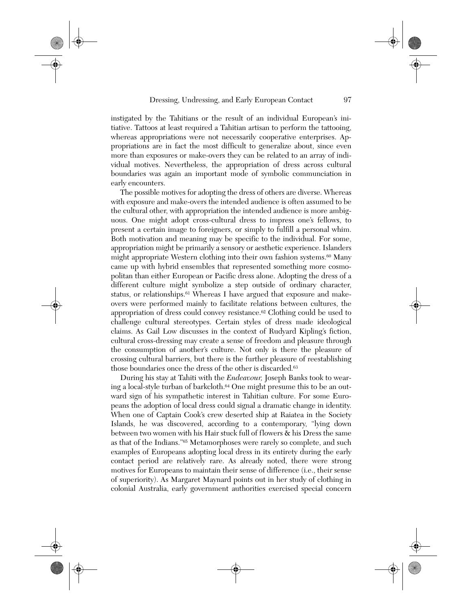instigated by the Tahitians or the result of an individual European's initiative. Tattoos at least required a Tahitian artisan to perform the tattooing, whereas appropriations were not necessarily cooperative enterprises. Appropriations are in fact the most difficult to generalize about, since even more than exposures or make-overs they can be related to an array of individual motives. Nevertheless, the appropriation of dress across cultural boundaries was again an important mode of symbolic communciation in early encounters.

The possible motives for adopting the dress of others are diverse. Whereas with exposure and make-overs the intended audience is often assumed to be the cultural other, with appropriation the intended audience is more ambiguous. One might adopt cross-cultural dress to impress one's fellows, to present a certain image to foreigners, or simply to fulfill a personal whim. Both motivation and meaning may be specific to the individual. For some, appropriation might be primarily a sensory or aesthetic experience. Islanders might appropriate Western clothing into their own fashion systems.<sup>60</sup> Many came up with hybrid ensembles that represented something more cosmopolitan than either European or Pacific dress alone. Adopting the dress of a different culture might symbolize a step outside of ordinary character, status, or relationships.61 Whereas I have argued that exposure and makeovers were performed mainly to facilitate relations between cultures, the appropriation of dress could convey resistance.<sup>62</sup> Clothing could be used to challenge cultural stereotypes. Certain styles of dress made ideological claims. As Gail Low discusses in the context of Rudyard Kipling's fiction, cultural cross-dressing may create a sense of freedom and pleasure through the consumption of another's culture. Not only is there the pleasure of crossing cultural barriers, but there is the further pleasure of reestablishing those boundaries once the dress of the other is discarded.<sup>63</sup>

During his stay at Tahiti with the *Endeavour,* Joseph Banks took to wearing a local-style turban of barkcloth.64 One might presume this to be an outward sign of his sympathetic interest in Tahitian culture. For some Europeans the adoption of local dress could signal a dramatic change in identity. When one of Captain Cook's crew deserted ship at Raiatea in the Society Islands, he was discovered, according to a contemporary, "lying down between two women with his Hair stuck full of flowers & his Dress the same as that of the Indians."65 Metamorphoses were rarely so complete, and such examples of Europeans adopting local dress in its entirety during the early contact period are relatively rare. As already noted, there were strong motives for Europeans to maintain their sense of difference (i.e., their sense of superiority). As Margaret Maynard points out in her study of clothing in colonial Australia, early government authorities exercised special concern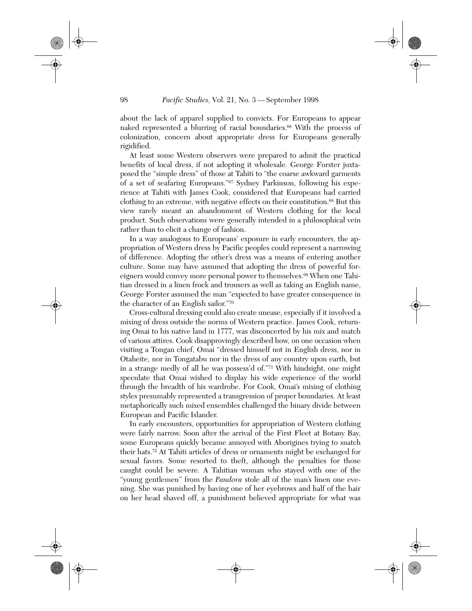about the lack of apparel supplied to convicts. For Europeans to appear naked represented a blurring of racial boundaries.<sup>66</sup> With the process of colonization, concern about appropriate dress for Europeans generally rigidified.

At least some Western observers were prepared to admit the practical benefits of local dress, if not adopting it wholesale. George Forster juxtaposed the "simple dress" of those at Tahiti to "the coarse awkward garments of a set of seafaring Europeans."67 Sydney Parkinson, following his experience at Tahiti with James Cook, considered that Europeans had carried clothing to an extreme, with negative effects on their constitution.<sup>68</sup> But this view rarely meant an abandonment of Western clothing for the local product. Such observations were generally intended in a philosophical vein rather than to elicit a change of fashion.

In a way analogous to Europeans' exposure in early encounters, the appropriation of Western dress by Pacific peoples could represent a narrowing of difference. Adopting the other's dress was a means of entering another culture. Some may have assumed that adopting the dress of powerful foreigners would convey more personal power to themselves.69 When one Tahitian dressed in a linen frock and trousers as well as taking an English name, George Forster assumed the man "expected to have greater consequence in the character of an English sailor."70

Cross-cultural dressing could also create unease, especially if it involved a mixing of dress outside the norms of Western practice. James Cook, returning Omai to his native land in 1777, was disconcerted by his mix and match of various attires. Cook disapprovingly described how, on one occasion when visiting a Tongan chief, Omai "dressed himself not in English dress, nor in Otaheite, nor in Tongatabu nor in the dress of any country upon earth, but in a strange medly of all he was possess'd of."71 With hindsight, one might speculate that Omai wished to display his wide experience of the world through the breadth of his wardrobe. For Cook, Omai's mixing of clothing styles presumably represented a transgression of proper boundaries. At least metaphorically such mixed ensembles challenged the binary divide between European and Pacific Islander.

In early encounters, opportunities for appropriation of Western clothing were fairly narrow. Soon after the arrival of the First Fleet at Botany Bay, some Europeans quickly became annoyed with Aborigines trying to snatch their hats.72 At Tahiti articles of dress or ornaments might be exchanged for sexual favors. Some resorted to theft, although the penalties for those caught could be severe. A Tahitian woman who stayed with one of the "young gentlemen" from the *Pandora* stole all of the man's linen one evening. She was punished by having one of her eyebrows and half of the hair on her head shaved off, a punishment believed appropriate for what was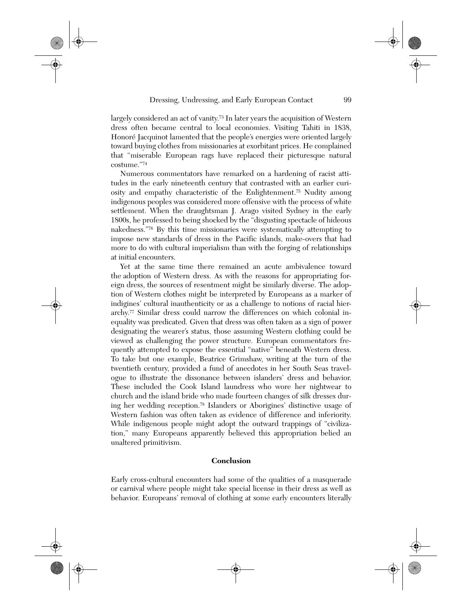largely considered an act of vanity.73 In later years the acquisition of Western dress often became central to local economies. Visiting Tahiti in 1838, Honoré Jacquinot lamented that the people's energies were oriented largely toward buying clothes from missionaries at exorbitant prices. He complained that "miserable European rags have replaced their picturesque natural costume."74

Numerous commentators have remarked on a hardening of racist attitudes in the early nineteenth century that contrasted with an earlier curiosity and empathy characteristic of the Enlightenment.75 Nudity among indigenous peoples was considered more offensive with the process of white settlement. When the draughtsman J. Arago visited Sydney in the early 1800s, he professed to being shocked by the "disgusting spectacle of hideous nakedness."76 By this time missionaries were systematically attempting to impose new standards of dress in the Pacific islands, make-overs that had more to do with cultural imperialism than with the forging of relationships at initial encounters.

Yet at the same time there remained an acute ambivalence toward the adoption of Western dress. As with the reasons for appropriating foreign dress, the sources of resentment might be similarly diverse. The adoption of Western clothes might be interpreted by Europeans as a marker of indigines' cultural inauthenticity or as a challenge to notions of racial hierarchy.77 Similar dress could narrow the differences on which colonial inequality was predicated. Given that dress was often taken as a sign of power designating the wearer's status, those assuming Western clothing could be viewed as challenging the power structure. European commentators frequently attempted to expose the essential "native" beneath Western dress. To take but one example, Beatrice Grimshaw, writing at the turn of the twentieth century, provided a fund of anecdotes in her South Seas travelogue to illustrate the dissonance between islanders' dress and behavior. These included the Cook Island laundress who wore her nightwear to church and the island bride who made fourteen changes of silk dresses during her wedding reception.78 Islanders or Aborigines' distinctive usage of Western fashion was often taken as evidence of difference and inferiority. While indigenous people might adopt the outward trappings of "civilization," many Europeans apparently believed this appropriation belied an unaltered primitivism.

## **Conclusion**

Early cross-cultural encounters had some of the qualities of a masquerade or carnival where people might take special license in their dress as well as behavior. Europeans' removal of clothing at some early encounters literally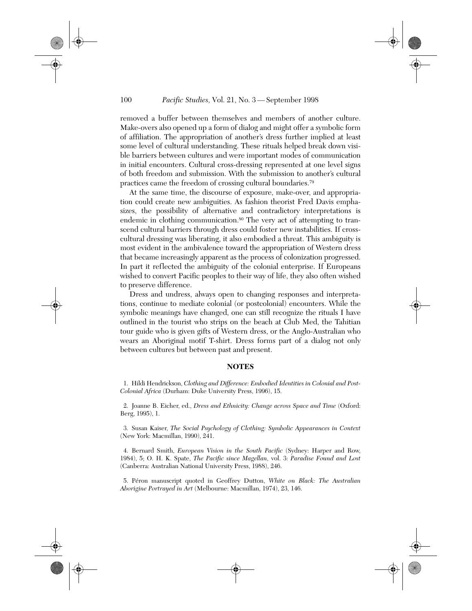removed a buffer between themselves and members of another culture. Make-overs also opened up a form of dialog and might offer a symbolic form of affiliation. The appropriation of another's dress further implied at least some level of cultural understanding. These rituals helped break down visible barriers between cultures and were important modes of communication in initial encounters. Cultural cross-dressing represented at one level signs of both freedom and submission. With the submission to another's cultural practices came the freedom of crossing cultural boundaries.79

At the same time, the discourse of exposure, make-over, and appropriation could create new ambiguities. As fashion theorist Fred Davis emphasizes, the possibility of alternative and contradictory interpretations is endemic in clothing communication.<sup>80</sup> The very act of attempting to transcend cultural barriers through dress could foster new instabilities. If crosscultural dressing was liberating, it also embodied a threat. This ambiguity is most evident in the ambivalence toward the appropriation of Western dress that became increasingly apparent as the process of colonization progressed. In part it reflected the ambiguity of the colonial enterprise. If Europeans wished to convert Pacific peoples to their way of life, they also often wished to preserve difference.

Dress and undress, always open to changing responses and interpretations, continue to mediate colonial (or postcolonial) encounters. While the symbolic meanings have changed, one can still recognize the rituals I have outlined in the tourist who strips on the beach at Club Med, the Tahitian tour guide who is given gifts of Western dress, or the Anglo-Australian who wears an Aboriginal motif T-shirt. Dress forms part of a dialog not only between cultures but between past and present.

#### **NOTES**

1. Hildi Hendrickson, *Clothing and Difference: Embodied Identities in Colonial and Post-Colonial Africa* (Durham: Duke University Press, 1996), 15.

2. Joanne B. Eicher, ed., *Dress and Ethnicity: Change across Space and Time* (Oxford: Berg, 1995), 1.

3. Susan Kaiser, *The Social Psychology of Clothing: Symbolic Appearances in Context* (New York: Macmillan, 1990), 241.

4. Bernard Smith, *European Vision in the South Pacific* (Sydney: Harper and Row, 1984), 5; O. H. K. Spate, *The Pacific since Magellan,* vol. 3: *Paradise Found and Lost* (Canberra: Australian National University Press, 1988), 246.

5. Péron manuscript quoted in Geoffrey Dutton, *White on Black: The Australian Aborigine Portrayed in Art* (Melbourne: Macmillan, 1974), 23, 146.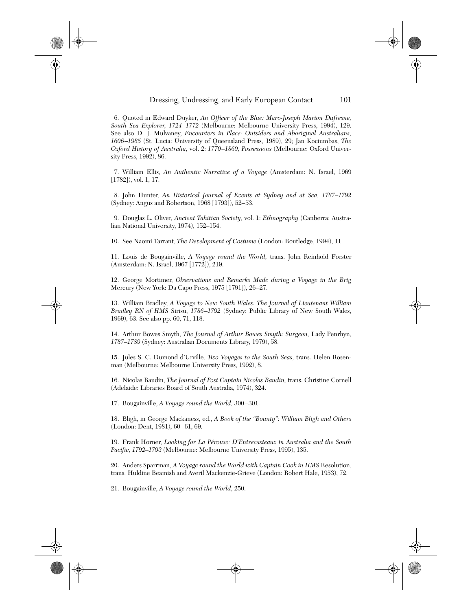#### Dressing, Undressing, and Early European Contact 101

6. Quoted in Edward Duyker, *An Officer of the Blue: Marc-Joseph Marion Dufresne, South Sea Explorer, 1724–1772* (Melbourne: Melbourne University Press, 1994), 129. See also D. J. Mulvaney, *Encounters in Place: Outsiders and Aboriginal Australians, 1606–1985* (St. Lucia: University of Queensland Press, 1989), 29; Jan Kociumbas, *The Oxford History of Australia,* vol. 2: *1770–1860, Possessions* (Melbourne: Oxford University Press, 1992), 86.

7. William Ellis, *An Authentic Narrative of a Voyage* (Amsterdam: N. Israel, 1969 [1782]), vol. 1, 17.

8. John Hunter, *An Historical Journal of Events at Sydney and at Sea, 1787–1792* (Sydney: Angus and Robertson, 1968 [1793]), 52–53.

9. Douglas L. Oliver, *Ancient Tahitian Society,* vol. 1: *Ethnography* (Canberra: Australian National University, 1974), 152–154.

10. See Naomi Tarrant, *The Development of Costume* (London: Routledge, 1994), 11.

11. Louis de Bougainville, *A Voyage round the World,* trans. John Reinhold Forster (Amsterdam: N. Israel, 1967 [1772]), 219.

12. George Mortimer, *Observations and Remarks Made during a Voyage in the Brig* Mercury (New York: Da Capo Press, 1975 [1791]), 26–27.

13. William Bradley, *A Voyage to New South Wales: The Journal of Lieutenant William Bradley RN of HMS* Sirisu, *1786–1792* (Sydney: Public Library of New South Wales, 1969), 63. See also pp. 60, 71, 118.

14. Arthur Bowes Smyth, *The Journal of Arthur Bowes Smyth: Surgeon,* Lady Penrhyn, *1787–1789* (Sydney: Australian Documents Library, 1979), 58.

15. Jules S. C. Dumond d'Urville, *Two Voyages to the South Seas,* trans. Helen Rosenman (Melbourne: Melbourne University Press, 1992), 8.

16. Nicolas Baudin, *The Journal of Post Captain Nicolas Baudin,* trans. Christine Cornell (Adelaide: Libraries Board of South Australia, 1974), 324.

17. Bougainville, *A Voyage round the World,* 300–301.

18. Bligh, in George Mackaness, ed., *A Book of the "Bounty": William Bligh and Others* (London: Dent, 1981), 60–61, 69.

19. Frank Horner, *Looking for La Pérouse: D'Entrecasteaux in Australia and the South Pacific, 1792–1793* (Melbourne: Melbourne University Press, 1995), 135.

20. Anders Sparrman, *A Voyage round the World with Captain Cook in HMS* Resolution, trans. Huldine Beamish and Averil Mackenzie-Grieve (London: Robert Hale, 1953), 72.

21. Bougainville, *A Voyage round the World,* 250.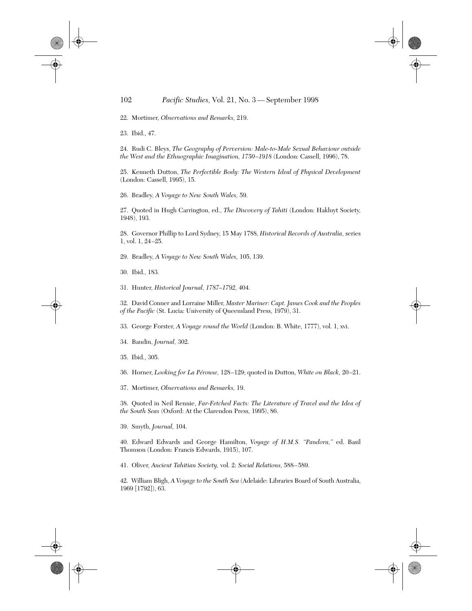22. Mortimer, *Observations and Remarks,* 219.

23. Ibid., 47.

24. Rudi C. Bleys, *The Geography of Perversion: Male-to-Male Sexual Behaviour outside the West and the Ethnographic Imagination, 1750–1918* (London: Cassell, 1996), 78.

25. Kenneth Dutton, *The Perfectible Body: The Western Ideal of Physical Development* (London: Cassell, 1995), 15.

26. Bradley, *A Voyage to New South Wales,* 59.

27. Quoted in Hugh Carrington, ed., *The Discovery of Tahiti* (London: Hakluyt Society, 1948), 193.

28. Governor Phillip to Lord Sydney, 15 May 1788, *Historical Records of Australia,* series 1, vol. 1, 24–25.

29. Bradley, *A Voyage to New South Wales,* 105, 139.

30. Ibid., 183.

31. Hunter, *Historical Journal, 1787–1792,* 404.

32. David Conner and Lorraine Miller, *Master Mariner: Capt. James Cook and the Peoples of the Pacific* (St. Lucia: University of Queensland Press, 1979), 31.

33. George Forster, *A Voyage round the World* (London: B. White, 1777), vol. 1, xvi.

34. Baudin, *Journal,* 302.

35. Ibid., 305.

36. Horner, *Looking for La Pérouse,* 128–129; quoted in Dutton, *White on Black,* 20–21.

37. Mortimer, *Observations and Remarks,* 19.

38. Quoted in Neil Rennie, *Far-Fetched Facts: The Literature of Travel and the Idea of the South Seas* (Oxford: At the Clarendon Press, 1995), 86.

39. Smyth, *Journal,* 104.

40. Edward Edwards and George Hamilton, *Voyage of H.M.S. "Pandora,"* ed. Basil Thomson (London: Francis Edwards, 1915), 107.

41. Oliver, *Ancient Tahitian Society,* vol. 2: *Social Relations,* 588–589.

42. William Bligh, *A Voyage to the South Sea* (Adelaide: Libraries Board of South Australia, 1969 [1792]), 63.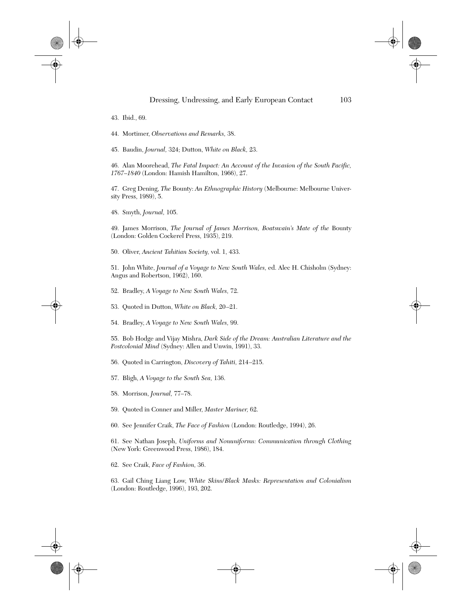- 43. Ibid., 69.
- 44. Mortimer, *Observations and Remarks,* 38.
- 45. Baudin, *Journal,* 324; Dutton, *White on Black,* 23.

46. Alan Moorehead, *The Fatal Impact: An Account of the Invasion of the South Pacific, 1767–1840* (London: Hamish Hamilton, 1966), 27.

47. Greg Dening, *The* Bounty: *An Ethnographic History* (Melbourne: Melbourne University Press, 1989), 5.

48. Smyth, *Journal,* 105.

49. James Morrison, *The Journal of James Morrison, Boatswain's Mate of the* Bounty (London: Golden Cockerel Press, 1935), 219.

50. Oliver, *Ancient Tahitian Society,* vol. 1, 433.

51. John White, *Journal of a Voyage to New South Wales,* ed. Alec H. Chisholm (Sydney: Angus and Robertson, 1962), 160.

- 52. Bradley, *A Voyage to New South Wales,* 72.
- 53. Quoted in Dutton, *White on Black,* 20–21.
- 54. Bradley, *A Voyage to New South Wales,* 99.

55. Bob Hodge and Vijay Mishra, *Dark Side of the Dream: Australian Literature and the Postcolonial Mind* (Sydney: Allen and Unwin, 1991), 33.

- 56. Quoted in Carrington, *Discovery of Tahiti,* 214–215.
- 57. Bligh, *A Voyage to the South Sea,* 136.
- 58. Morrison, *Journal,* 77–78.
- 59. Quoted in Conner and Miller, *Master Mariner,* 62.
- 60. See Jennifer Craik, *The Face of Fashion* (London: Routledge, 1994), 26.

61. See Nathan Joseph, *Uniforms and Nonuniforms: Communication through Clothing* (New York: Greenwood Press, 1986), 184.

62. See Craik, *Face of Fashion,* 36.

63. Gail Ching Liang Low, *White Skins/Black Masks: Representation and Colonialism* (London: Routledge, 1996), 193, 202.